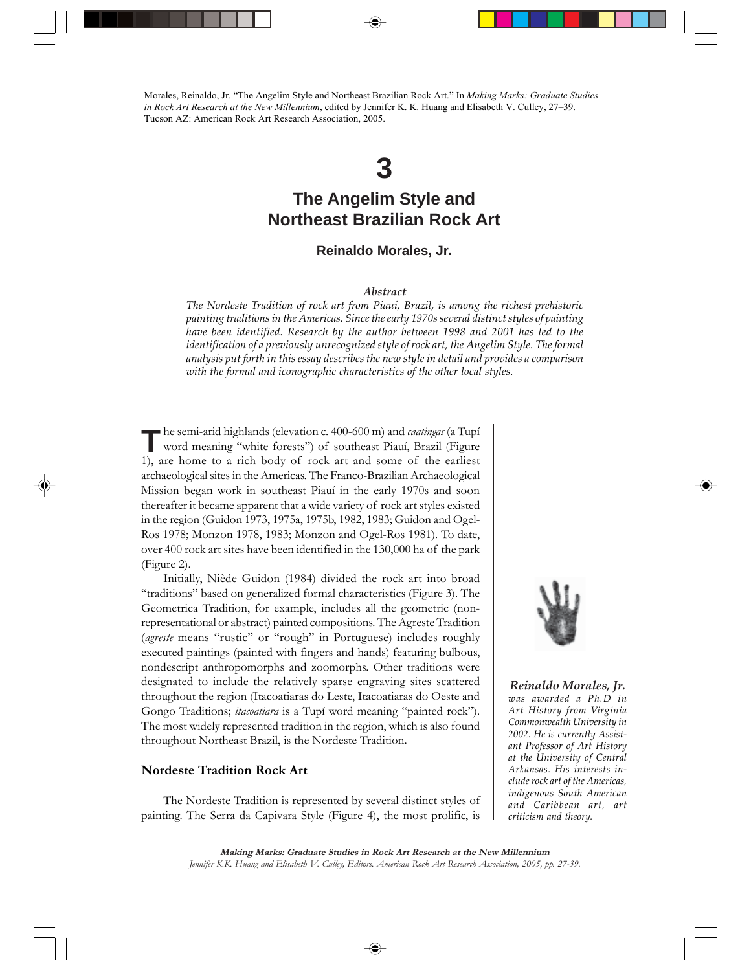Morales, Reinaldo, Jr. "The Angelim Style and Northeast Brazilian Rock Art." In *Making Marks: Graduate Studies in Rock Art Research at the New Millennium*, edited by Jennifer K. K. Huang and Elisabeth V. Culley, 27–39. Tucson AZ: American Rock Art Research Association, 2005.

# **3**

# **The Angelim Style and Northeast Brazilian Rock Art**

# **Reinaldo Morales, Jr.**

### *Abstract*

*The Nordeste Tradition of rock art from Piauí, Brazil, is among the richest prehistoric painting traditions in the Americas. Since the early 1970s several distinct styles of painting have been identified. Research by the author between 1998 and 2001 has led to the identification of a previously unrecognized style of rock art, the Angelim Style. The formal analysis put forth in this essay describes the new style in detail and provides a comparison with the formal and iconographic characteristics of the other local styles.*

he semi-arid highlands (elevation c. 400-600 m) and *caatingas* (a Tupí The semi-arid highlands (elevation c. 400-600 m) and *caatingas* (a Tupí word meaning "white forests") of southeast Piauí, Brazil (Figure 1), are home to a rich body of rock art and some of the earliest archaeological sites in the Americas. The Franco-Brazilian Archaeological Mission began work in southeast Piauí in the early 1970s and soon thereafter it became apparent that a wide variety of rock art styles existed in the region (Guidon 1973, 1975a, 1975b, 1982, 1983; Guidon and Ogel-Ros 1978; Monzon 1978, 1983; Monzon and Ogel-Ros 1981). To date, over 400 rock art sites have been identified in the 130,000 ha of the park (Figure 2).

Initially, Niède Guidon (1984) divided the rock art into broad "traditions" based on generalized formal characteristics (Figure 3). The Geometrica Tradition, for example, includes all the geometric (nonrepresentational or abstract) painted compositions. The Agreste Tradition (*agreste* means "rustic" or "rough" in Portuguese) includes roughly executed paintings (painted with fingers and hands) featuring bulbous, nondescript anthropomorphs and zoomorphs. Other traditions were designated to include the relatively sparse engraving sites scattered throughout the region (Itacoatiaras do Leste, Itacoatiaras do Oeste and Gongo Traditions; *itacoatiara* is a Tupí word meaning "painted rock"). The most widely represented tradition in the region, which is also found throughout Northeast Brazil, is the Nordeste Tradition.

# **Nordeste Tradition Rock Art**

The Nordeste Tradition is represented by several distinct styles of painting. The Serra da Capivara Style (Figure 4), the most prolific, is



*Reinaldo Morales, Jr. was awarded a Ph.D in Art History from Virginia Commonwealth University in 2002. He is currently Assistant Professor of Art History at the University of Central Arkansas. His interests include rock art of the Americas, indigenous South American and Caribbean art, art criticism and theory.*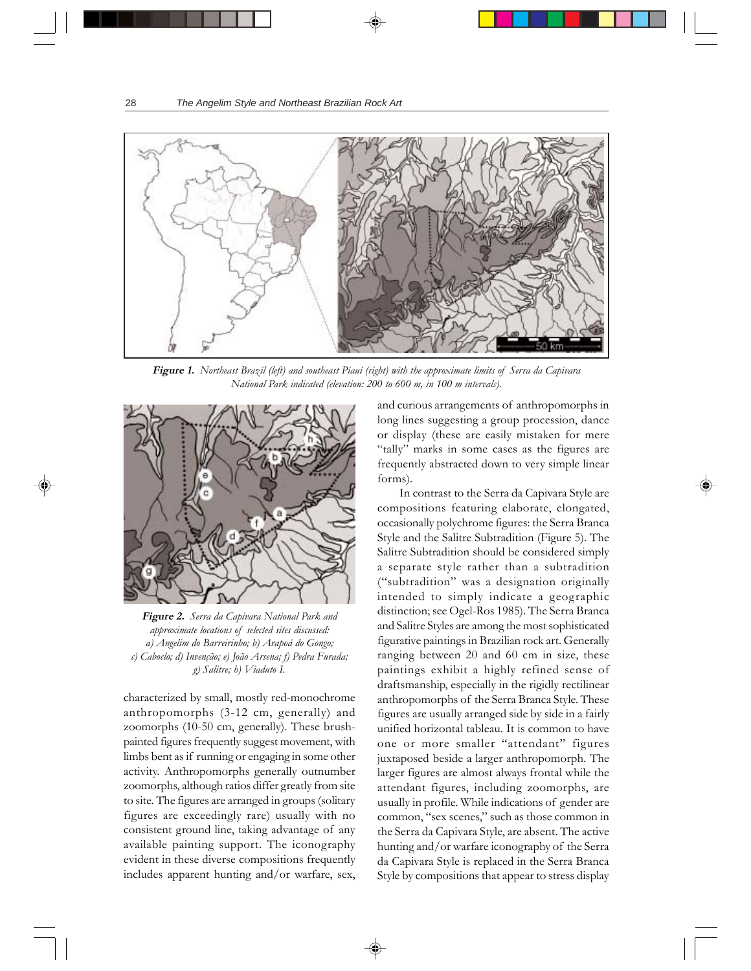

**Figure 1.** *Northeast Brazil (left) and southeast Piauí (right) with the approximate limits of Serra da Capivara National Park indicated (elevation: 200 to 600 m, in 100 m intervals).*



**Figure 2.** *Serra da Capivara National Park and approximate locations of selected sites discussed: a) Angelim do Barreirinho; b) Arapoá do Gongo; c) Caboclo; d) Invenção; e) João Arsena; f) Pedra Furada; g) Salitre; h) Viaduto I.*

characterized by small, mostly red-monochrome anthropomorphs (3-12 cm, generally) and zoomorphs (10-50 cm, generally). These brushpainted figures frequently suggest movement, with limbs bent as if running or engaging in some other activity. Anthropomorphs generally outnumber zoomorphs, although ratios differ greatly from site to site. The figures are arranged in groups (solitary figures are exceedingly rare) usually with no consistent ground line, taking advantage of any available painting support. The iconography evident in these diverse compositions frequently includes apparent hunting and/or warfare, sex, and curious arrangements of anthropomorphs in long lines suggesting a group procession, dance or display (these are easily mistaken for mere "tally" marks in some cases as the figures are frequently abstracted down to very simple linear forms).

In contrast to the Serra da Capivara Style are compositions featuring elaborate, elongated, occasionally polychrome figures: the Serra Branca Style and the Salitre Subtradition (Figure 5). The Salitre Subtradition should be considered simply a separate style rather than a subtradition ("subtradition" was a designation originally intended to simply indicate a geographic distinction; see Ogel-Ros 1985). The Serra Branca and Salitre Styles are among the most sophisticated figurative paintings in Brazilian rock art. Generally ranging between 20 and 60 cm in size, these paintings exhibit a highly refined sense of draftsmanship, especially in the rigidly rectilinear anthropomorphs of the Serra Branca Style. These figures are usually arranged side by side in a fairly unified horizontal tableau. It is common to have one or more smaller "attendant" figures juxtaposed beside a larger anthropomorph. The larger figures are almost always frontal while the attendant figures, including zoomorphs, are usually in profile. While indications of gender are common, "sex scenes," such as those common in the Serra da Capivara Style, are absent. The active hunting and/or warfare iconography of the Serra da Capivara Style is replaced in the Serra Branca Style by compositions that appear to stress display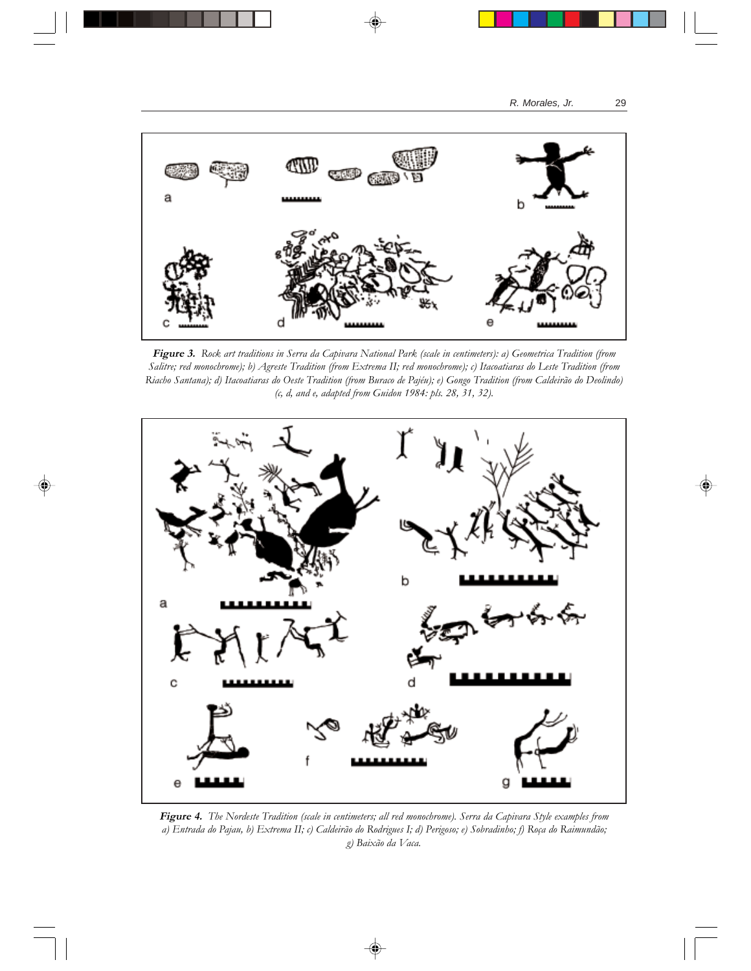

**Figure 3.** *Rock art traditions in Serra da Capivara National Park (scale in centimeters): a) Geometrica Tradition (from Salitre; red monochrome); b) Agreste Tradition (from Extrema II; red monochrome); c) Itacoatiaras do Leste Tradition (from Riacho Santana); d) Itacoatiaras do Oeste Tradition (from Buraco de Pajéu); e) Gongo Tradition (from Caldeirão do Deolindo) (c, d, and e, adapted from Guidon 1984: pls. 28, 31, 32).*



**Figure 4.** *The Nordeste Tradition (scale in centimeters; all red monochrome). Serra da Capivara Style examples from a) Entrada do Pajau, b) Extrema II; c) Caldeirão do Rodrigues I; d) Perigoso; e) Sobradinho; f) Roça do Raimundão; g) Baixão da Vaca.*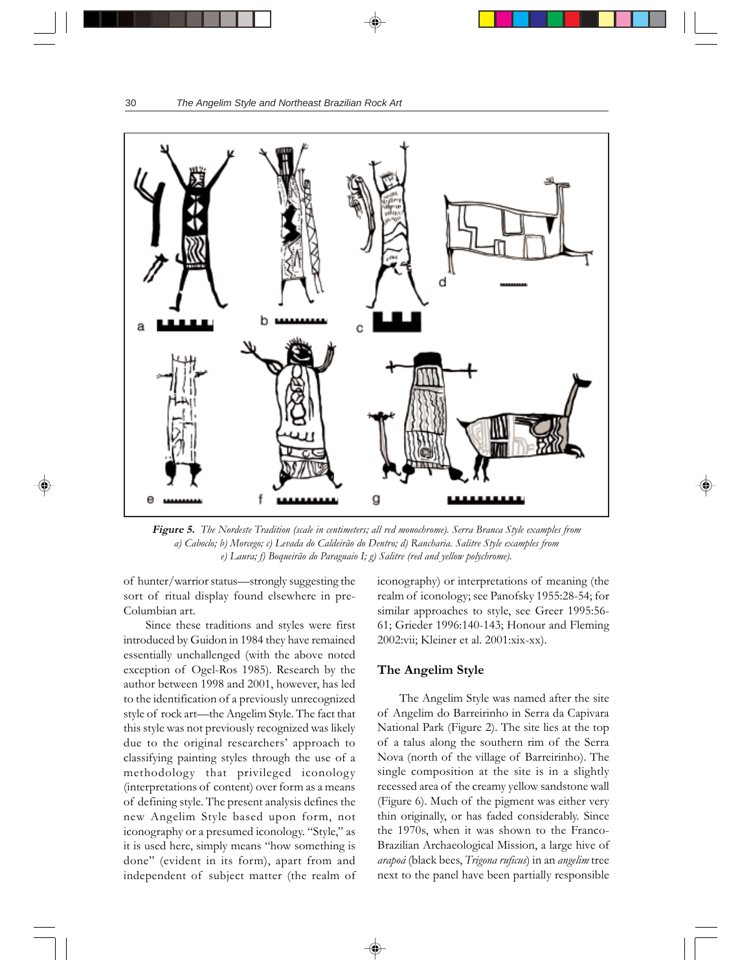

**Figure 5.** *The Nordeste Tradition (scale in centimeters; all red monochrome). Serra Branca Style examples from a) Caboclo; b) Morcego; c) Levada do Caldeirão do Dentro; d) Rancharia. Salitre Style examples from e) Laura; f) Boqueirão do Paraguaio I; g) Salitre (red and yellow polychrome).*

of hunter/warrior status—strongly suggesting the sort of ritual display found elsewhere in pre-Columbian art.

Since these traditions and styles were first introduced by Guidon in 1984 they have remained essentially unchallenged (with the above noted exception of Ogel-Ros 1985). Research by the author between 1998 and 2001, however, has led to the identification of a previously unrecognized style of rock art—the Angelim Style. The fact that this style was not previously recognized was likely due to the original researchers' approach to classifying painting styles through the use of a methodology that privileged iconology (interpretations of content) over form as a means of defining style. The present analysis defines the new Angelim Style based upon form, not iconography or a presumed iconology. "Style," as it is used here, simply means "how something is done" (evident in its form), apart from and independent of subject matter (the realm of iconography) or interpretations of meaning (the realm of iconology; see Panofsky 1955:28-54; for similar approaches to style, see Greer 1995:56- 61; Grieder 1996:140-143; Honour and Fleming 2002:vii; Kleiner et al. 2001:xix-xx).

# **The Angelim Style**

The Angelim Style was named after the site of Angelim do Barreirinho in Serra da Capivara National Park (Figure 2). The site lies at the top of a talus along the southern rim of the Serra Nova (north of the village of Barreirinho). The single composition at the site is in a slightly recessed area of the creamy yellow sandstone wall (Figure 6). Much of the pigment was either very thin originally, or has faded considerably. Since the 1970s, when it was shown to the Franco-Brazilian Archaeological Mission, a large hive of *arapoá* (black bees, *Trigona ruficus*) in an *angelim* tree next to the panel have been partially responsible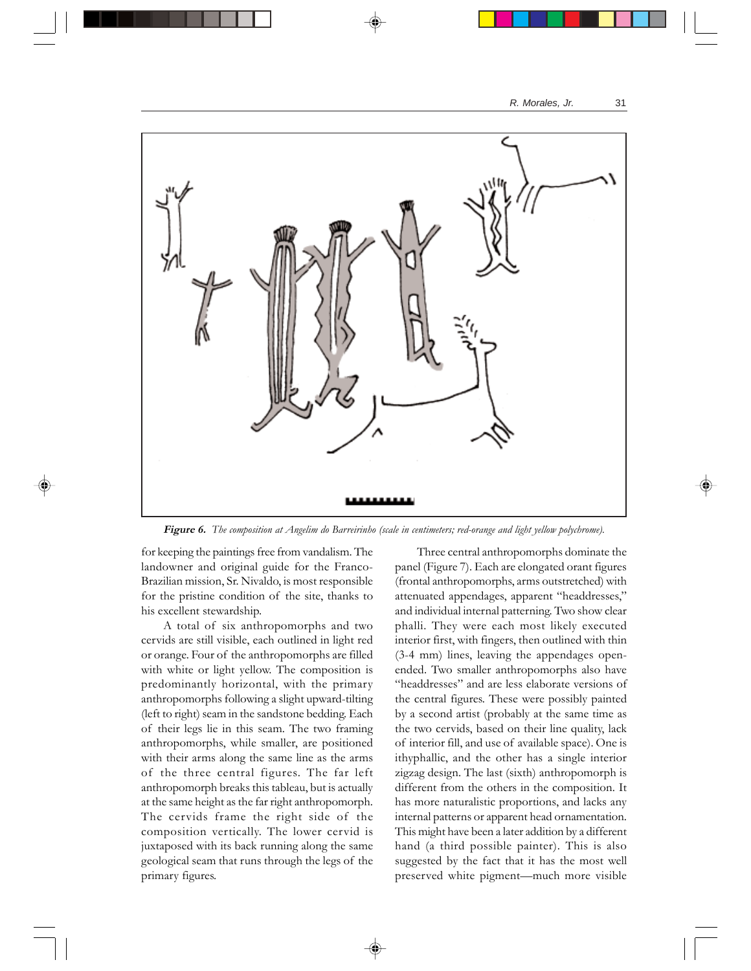

**Figure 6.** *The composition at Angelim do Barreirinho (scale in centimeters; red-orange and light yellow polychrome).*

for keeping the paintings free from vandalism. The landowner and original guide for the Franco-Brazilian mission, Sr. Nivaldo, is most responsible for the pristine condition of the site, thanks to his excellent stewardship.

A total of six anthropomorphs and two cervids are still visible, each outlined in light red or orange. Four of the anthropomorphs are filled with white or light yellow. The composition is predominantly horizontal, with the primary anthropomorphs following a slight upward-tilting (left to right) seam in the sandstone bedding. Each of their legs lie in this seam. The two framing anthropomorphs, while smaller, are positioned with their arms along the same line as the arms of the three central figures. The far left anthropomorph breaks this tableau, but is actually at the same height as the far right anthropomorph. The cervids frame the right side of the composition vertically. The lower cervid is juxtaposed with its back running along the same geological seam that runs through the legs of the primary figures.

Three central anthropomorphs dominate the panel (Figure 7). Each are elongated orant figures (frontal anthropomorphs, arms outstretched) with attenuated appendages, apparent "headdresses," and individual internal patterning. Two show clear phalli. They were each most likely executed interior first, with fingers, then outlined with thin (3-4 mm) lines, leaving the appendages openended. Two smaller anthropomorphs also have "headdresses" and are less elaborate versions of the central figures. These were possibly painted by a second artist (probably at the same time as the two cervids, based on their line quality, lack of interior fill, and use of available space). One is ithyphallic, and the other has a single interior zigzag design. The last (sixth) anthropomorph is different from the others in the composition. It has more naturalistic proportions, and lacks any internal patterns or apparent head ornamentation. This might have been a later addition by a different hand (a third possible painter). This is also suggested by the fact that it has the most well preserved white pigment—much more visible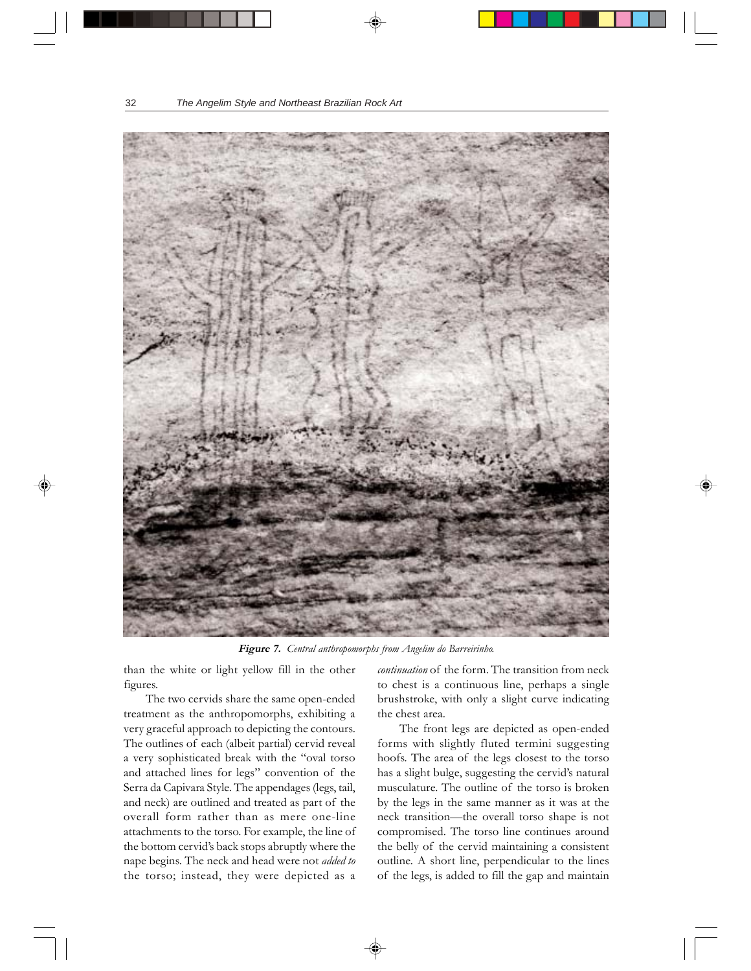

**Figure 7.** *Central anthropomorphs from Angelim do Barreirinho.*

than the white or light yellow fill in the other figures.

The two cervids share the same open-ended treatment as the anthropomorphs, exhibiting a very graceful approach to depicting the contours. The outlines of each (albeit partial) cervid reveal a very sophisticated break with the "oval torso and attached lines for legs" convention of the Serra da Capivara Style. The appendages (legs, tail, and neck) are outlined and treated as part of the overall form rather than as mere one-line attachments to the torso. For example, the line of the bottom cervid's back stops abruptly where the nape begins. The neck and head were not *added to* the torso; instead, they were depicted as a *continuation* of the form. The transition from neck to chest is a continuous line, perhaps a single brushstroke, with only a slight curve indicating the chest area.

The front legs are depicted as open-ended forms with slightly fluted termini suggesting hoofs. The area of the legs closest to the torso has a slight bulge, suggesting the cervid's natural musculature. The outline of the torso is broken by the legs in the same manner as it was at the neck transition—the overall torso shape is not compromised. The torso line continues around the belly of the cervid maintaining a consistent outline. A short line, perpendicular to the lines of the legs, is added to fill the gap and maintain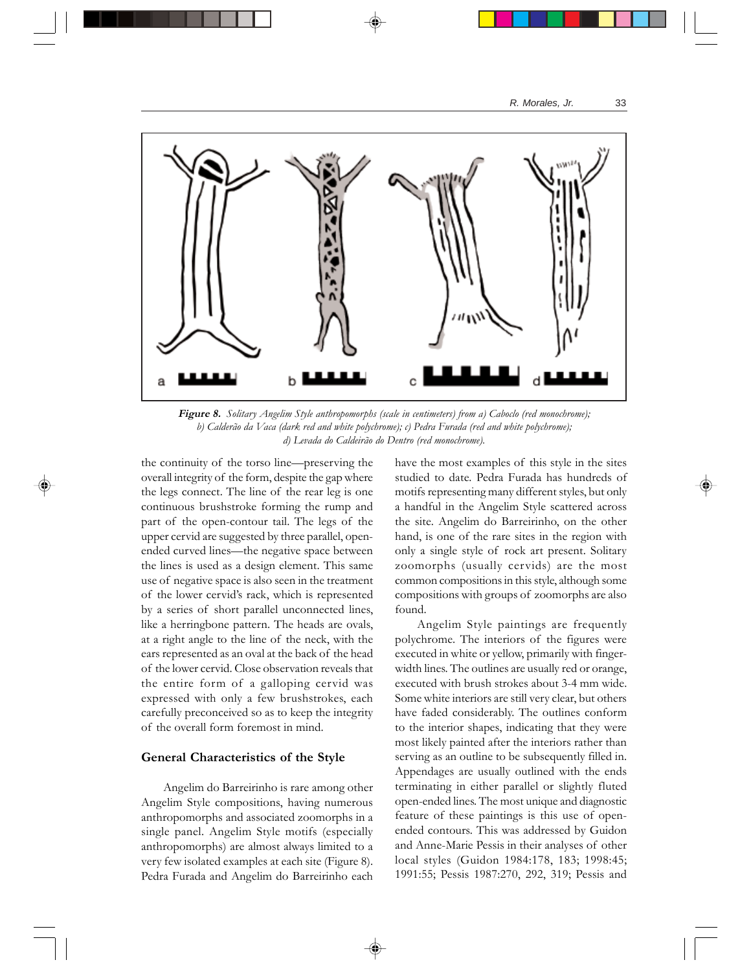

**Figure 8.** *Solitary Angelim Style anthropomorphs (scale in centimeters) from a) Caboclo (red monochrome); b) Calderão da Vaca (dark red and white polychrome); c) Pedra Furada (red and white polychrome); d) Levada do Caldeirão do Dentro (red monochrome).*

the continuity of the torso line—preserving the overall integrity of the form, despite the gap where the legs connect. The line of the rear leg is one continuous brushstroke forming the rump and part of the open-contour tail. The legs of the upper cervid are suggested by three parallel, openended curved lines—the negative space between the lines is used as a design element. This same use of negative space is also seen in the treatment of the lower cervid's rack, which is represented by a series of short parallel unconnected lines, like a herringbone pattern. The heads are ovals, at a right angle to the line of the neck, with the ears represented as an oval at the back of the head of the lower cervid. Close observation reveals that the entire form of a galloping cervid was expressed with only a few brushstrokes, each carefully preconceived so as to keep the integrity of the overall form foremost in mind.

#### **General Characteristics of the Style**

Angelim do Barreirinho is rare among other Angelim Style compositions, having numerous anthropomorphs and associated zoomorphs in a single panel. Angelim Style motifs (especially anthropomorphs) are almost always limited to a very few isolated examples at each site (Figure 8). Pedra Furada and Angelim do Barreirinho each

have the most examples of this style in the sites studied to date. Pedra Furada has hundreds of motifs representing many different styles, but only a handful in the Angelim Style scattered across the site. Angelim do Barreirinho, on the other hand, is one of the rare sites in the region with only a single style of rock art present. Solitary zoomorphs (usually cervids) are the most common compositions in this style, although some compositions with groups of zoomorphs are also found.

Angelim Style paintings are frequently polychrome. The interiors of the figures were executed in white or yellow, primarily with fingerwidth lines. The outlines are usually red or orange, executed with brush strokes about 3-4 mm wide. Some white interiors are still very clear, but others have faded considerably. The outlines conform to the interior shapes, indicating that they were most likely painted after the interiors rather than serving as an outline to be subsequently filled in. Appendages are usually outlined with the ends terminating in either parallel or slightly fluted open-ended lines. The most unique and diagnostic feature of these paintings is this use of openended contours. This was addressed by Guidon and Anne-Marie Pessis in their analyses of other local styles (Guidon 1984:178, 183; 1998:45; 1991:55; Pessis 1987:270, 292, 319; Pessis and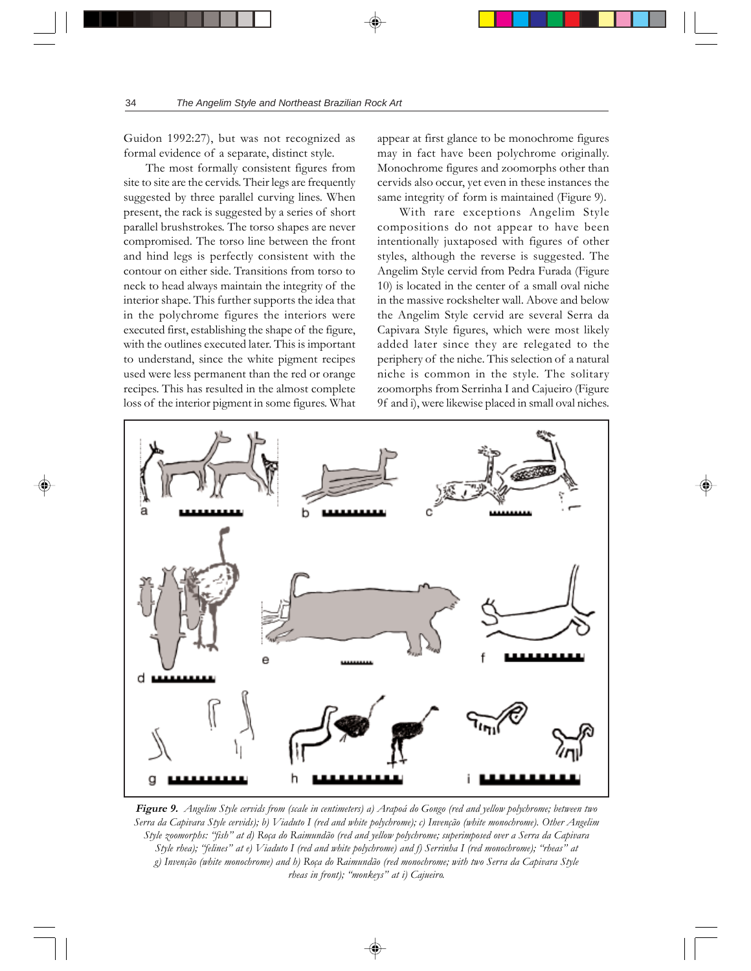Guidon 1992:27), but was not recognized as formal evidence of a separate, distinct style.

The most formally consistent figures from site to site are the cervids. Their legs are frequently suggested by three parallel curving lines. When present, the rack is suggested by a series of short parallel brushstrokes. The torso shapes are never compromised. The torso line between the front and hind legs is perfectly consistent with the contour on either side. Transitions from torso to neck to head always maintain the integrity of the interior shape. This further supports the idea that in the polychrome figures the interiors were executed first, establishing the shape of the figure, with the outlines executed later. This is important to understand, since the white pigment recipes used were less permanent than the red or orange recipes. This has resulted in the almost complete loss of the interior pigment in some figures. What

appear at first glance to be monochrome figures may in fact have been polychrome originally. Monochrome figures and zoomorphs other than cervids also occur, yet even in these instances the same integrity of form is maintained (Figure 9).

With rare exceptions Angelim Style compositions do not appear to have been intentionally juxtaposed with figures of other styles, although the reverse is suggested. The Angelim Style cervid from Pedra Furada (Figure 10) is located in the center of a small oval niche in the massive rockshelter wall. Above and below the Angelim Style cervid are several Serra da Capivara Style figures, which were most likely added later since they are relegated to the periphery of the niche. This selection of a natural niche is common in the style. The solitary zoomorphs from Serrinha I and Cajueiro (Figure 9f and i), were likewise placed in small oval niches.



**Figure 9.** *Angelim Style cervids from (scale in centimeters) a) Arapoá do Gongo (red and yellow polychrome; between two Serra da Capivara Style cervids); b) Viaduto I (red and white polychrome); c) Invenção (white monochrome). Other Angelim Style zoomorphs: "fish" at d) Roça do Raimundão (red and yellow polychrome; superimposed over a Serra da Capivara Style rhea); "felines" at e) Viaduto I (red and white polychrome) and f) Serrinha I (red monochrome); "rheas" at g) Invenção (white monochrome) and h) Roça do Raimundão (red monochrome; with two Serra da Capivara Style rheas in front); "monkeys" at i) Cajueiro.*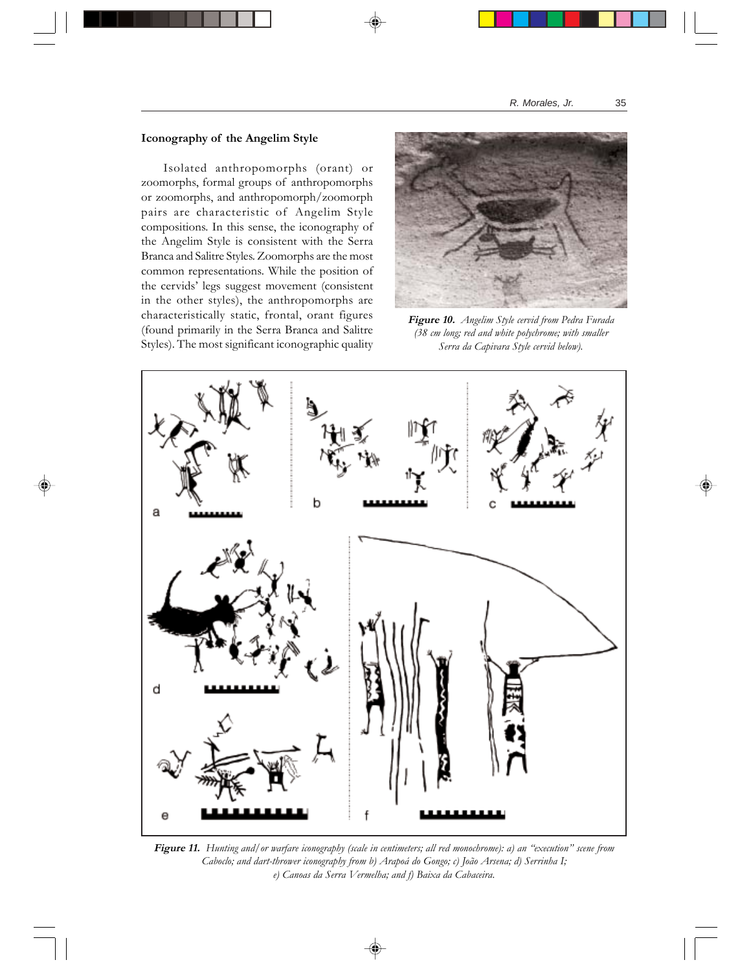## **Iconography of the Angelim Style**

Isolated anthropomorphs (orant) or zoomorphs, formal groups of anthropomorphs or zoomorphs, and anthropomorph/zoomorph pairs are characteristic of Angelim Style compositions. In this sense, the iconography of the Angelim Style is consistent with the Serra Branca and Salitre Styles. Zoomorphs are the most common representations. While the position of the cervids' legs suggest movement (consistent in the other styles), the anthropomorphs are characteristically static, frontal, orant figures (found primarily in the Serra Branca and Salitre Styles). The most significant iconographic quality



**Figure 10.** *Angelim Style cervid from Pedra Furada (38 cm long; red and white polychrome; with smaller Serra da Capivara Style cervid below).*



**Figure 11.** *Hunting and/or warfare iconography (scale in centimeters; all red monochrome): a) an "execution" scene from Caboclo; and dart-thrower iconography from b) Arapoá do Gongo; c) João Arsena; d) Serrinha I; e) Canoas da Serra Vermelha; and f) Baixa da Cabaceira.*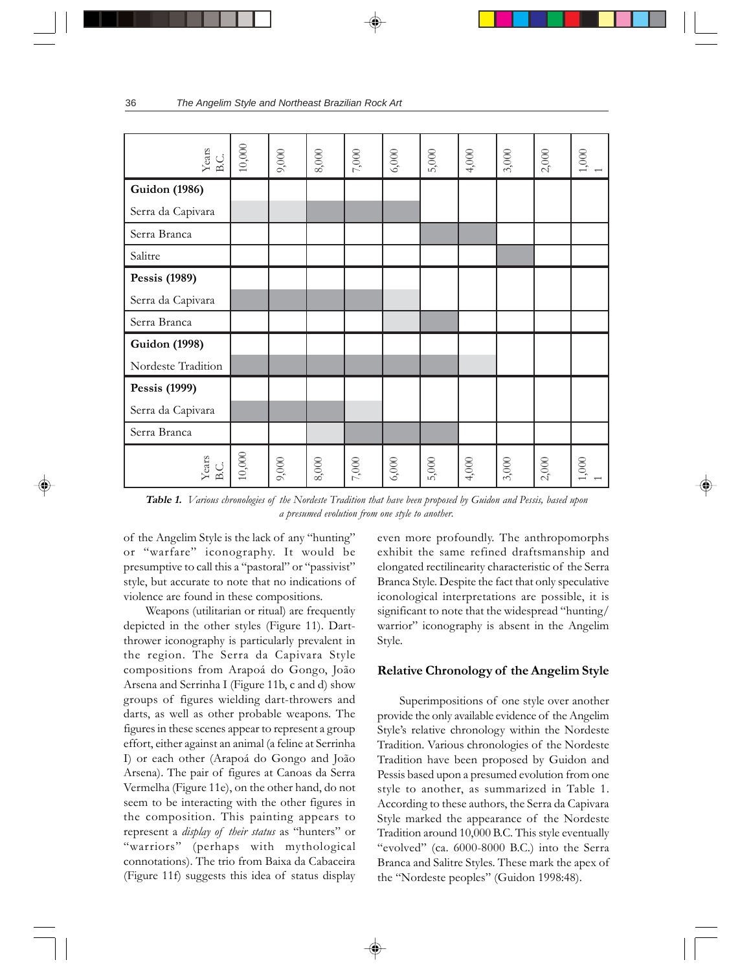| Years<br>B.C.        | 10,000 | 9,000 | $8,\!000$ | $7,\!000$ | 6,000 | 5,000 | 4,000 | 3,000 | 2,000 | $1,\!000$ |
|----------------------|--------|-------|-----------|-----------|-------|-------|-------|-------|-------|-----------|
| <b>Guidon</b> (1986) |        |       |           |           |       |       |       |       |       |           |
| Serra da Capivara    |        |       |           |           |       |       |       |       |       |           |
| Serra Branca         |        |       |           |           |       |       |       |       |       |           |
| Salitre              |        |       |           |           |       |       |       |       |       |           |
| Pessis (1989)        |        |       |           |           |       |       |       |       |       |           |
| Serra da Capivara    |        |       |           |           |       |       |       |       |       |           |
| Serra Branca         |        |       |           |           |       |       |       |       |       |           |
| <b>Guidon</b> (1998) |        |       |           |           |       |       |       |       |       |           |
| Nordeste Tradition   |        |       |           |           |       |       |       |       |       |           |
| Pessis (1999)        |        |       |           |           |       |       |       |       |       |           |
| Serra da Capivara    |        |       |           |           |       |       |       |       |       |           |
| Serra Branca         |        |       |           |           |       |       |       |       |       |           |
| Years<br>B.C.        | 10,000 | 9,000 | 8,000     | $7,\!000$ | 6,000 | 5,000 | 4,000 | 3,000 | 2,000 | 000       |

**Table 1.** *Various chronologies of the Nordeste Tradition that have been proposed by Guidon and Pessis, based upon a presumed evolution from one style to another.*

of the Angelim Style is the lack of any "hunting" or "warfare" iconography. It would be presumptive to call this a "pastoral" or "passivist" style, but accurate to note that no indications of violence are found in these compositions.

Weapons (utilitarian or ritual) are frequently depicted in the other styles (Figure 11). Dartthrower iconography is particularly prevalent in the region. The Serra da Capivara Style compositions from Arapoá do Gongo, João Arsena and Serrinha I (Figure 11b, c and d) show groups of figures wielding dart-throwers and darts, as well as other probable weapons. The figures in these scenes appear to represent a group effort, either against an animal (a feline at Serrinha I) or each other (Arapoá do Gongo and João Arsena). The pair of figures at Canoas da Serra Vermelha (Figure 11e), on the other hand, do not seem to be interacting with the other figures in the composition. This painting appears to represent a *display of their status* as "hunters" or "warriors" (perhaps with mythological connotations). The trio from Baixa da Cabaceira (Figure 11f) suggests this idea of status display even more profoundly. The anthropomorphs exhibit the same refined draftsmanship and elongated rectilinearity characteristic of the Serra Branca Style. Despite the fact that only speculative iconological interpretations are possible, it is significant to note that the widespread "hunting/ warrior" iconography is absent in the Angelim Style.

### **Relative Chronology of the Angelim Style**

Superimpositions of one style over another provide the only available evidence of the Angelim Style's relative chronology within the Nordeste Tradition. Various chronologies of the Nordeste Tradition have been proposed by Guidon and Pessis based upon a presumed evolution from one style to another, as summarized in Table 1. According to these authors, the Serra da Capivara Style marked the appearance of the Nordeste Tradition around 10,000 B.C. This style eventually "evolved" (ca. 6000-8000 B.C.) into the Serra Branca and Salitre Styles. These mark the apex of the "Nordeste peoples" (Guidon 1998:48).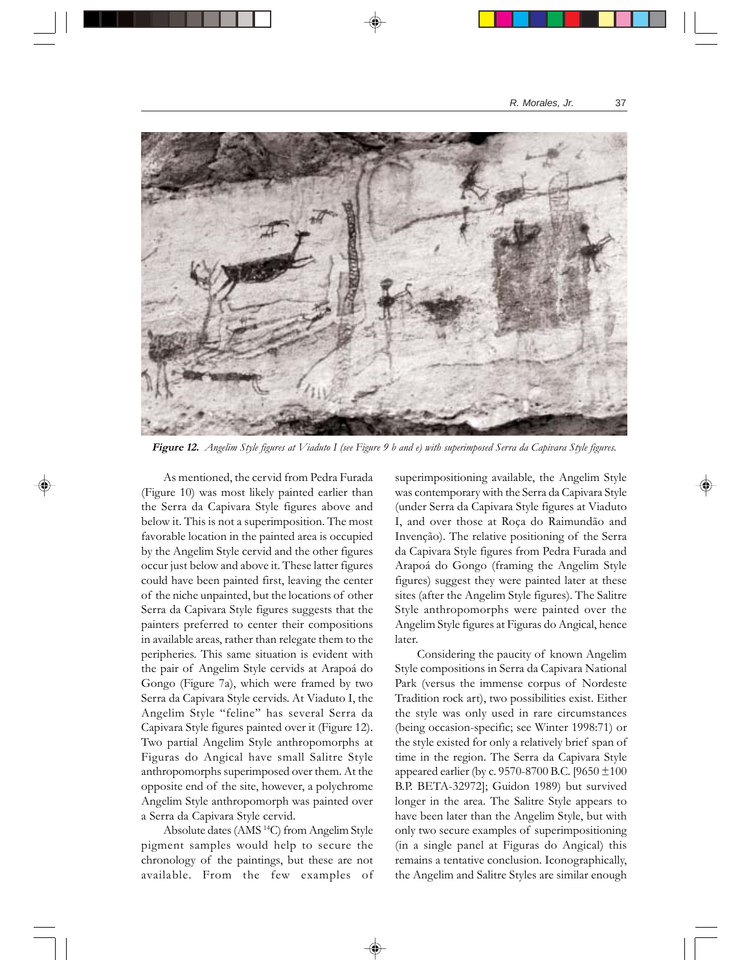

**Figure 12.** *Angelim Style figures at Viaduto I (see Figure 9 b and e) with superimposed Serra da Capivara Style figures.*

As mentioned, the cervid from Pedra Furada (Figure 10) was most likely painted earlier than the Serra da Capivara Style figures above and below it. This is not a superimposition. The most favorable location in the painted area is occupied by the Angelim Style cervid and the other figures occur just below and above it. These latter figures could have been painted first, leaving the center of the niche unpainted, but the locations of other Serra da Capivara Style figures suggests that the painters preferred to center their compositions in available areas, rather than relegate them to the peripheries. This same situation is evident with the pair of Angelim Style cervids at Arapoá do Gongo (Figure 7a), which were framed by two Serra da Capivara Style cervids. At Viaduto I, the Angelim Style "feline" has several Serra da Capivara Style figures painted over it (Figure 12). Two partial Angelim Style anthropomorphs at Figuras do Angical have small Salitre Style anthropomorphs superimposed over them. At the opposite end of the site, however, a polychrome Angelim Style anthropomorph was painted over a Serra da Capivara Style cervid.

Absolute dates (AMS 14C) from Angelim Style pigment samples would help to secure the chronology of the paintings, but these are not available. From the few examples of

superimpositioning available, the Angelim Style was contemporary with the Serra da Capivara Style (under Serra da Capivara Style figures at Viaduto I, and over those at Roça do Raimundão and Invenção). The relative positioning of the Serra da Capivara Style figures from Pedra Furada and Arapoá do Gongo (framing the Angelim Style figures) suggest they were painted later at these sites (after the Angelim Style figures). The Salitre Style anthropomorphs were painted over the Angelim Style figures at Figuras do Angical, hence later.

Considering the paucity of known Angelim Style compositions in Serra da Capivara National Park (versus the immense corpus of Nordeste Tradition rock art), two possibilities exist. Either the style was only used in rare circumstances (being occasion-specific; see Winter 1998:71) or the style existed for only a relatively brief span of time in the region. The Serra da Capivara Style appeared earlier (by c. 9570-8700 B.C. [9650  $\pm 100$ B.P. BETA-32972]; Guidon 1989) but survived longer in the area. The Salitre Style appears to have been later than the Angelim Style, but with only two secure examples of superimpositioning (in a single panel at Figuras do Angical) this remains a tentative conclusion. Iconographically, the Angelim and Salitre Styles are similar enough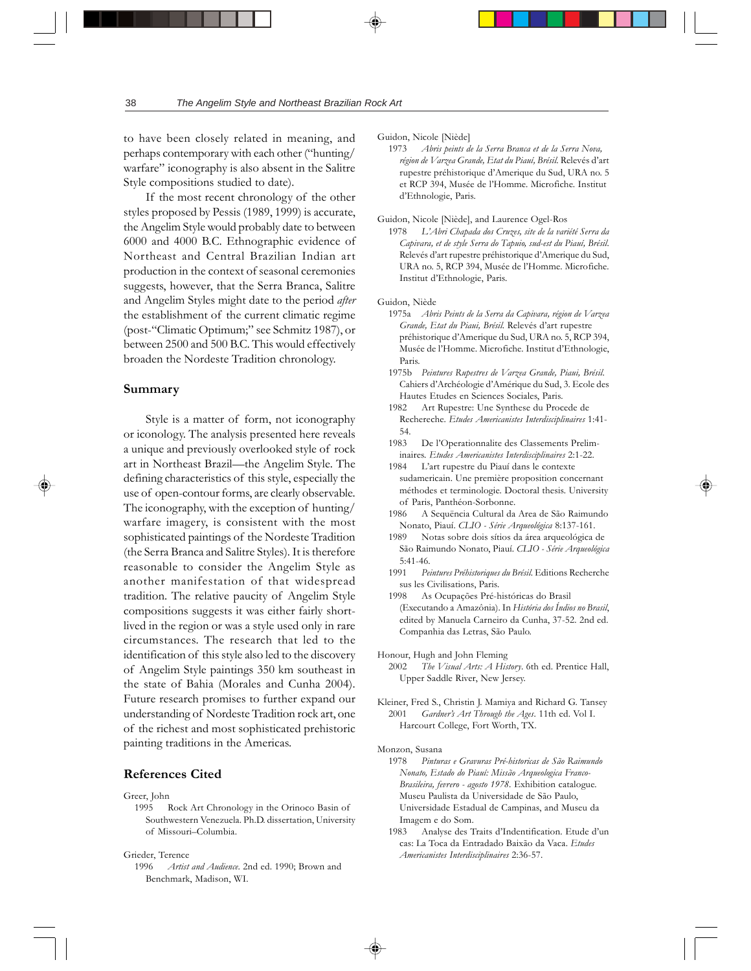to have been closely related in meaning, and perhaps contemporary with each other ("hunting/ warfare" iconography is also absent in the Salitre Style compositions studied to date).

If the most recent chronology of the other styles proposed by Pessis (1989, 1999) is accurate, the Angelim Style would probably date to between 6000 and 4000 B.C. Ethnographic evidence of Northeast and Central Brazilian Indian art production in the context of seasonal ceremonies suggests, however, that the Serra Branca, Salitre and Angelim Styles might date to the period *after* the establishment of the current climatic regime (post-"Climatic Optimum;" see Schmitz 1987), or between 2500 and 500 B.C. This would effectively broaden the Nordeste Tradition chronology.

#### **Summary**

Style is a matter of form, not iconography or iconology. The analysis presented here reveals a unique and previously overlooked style of rock art in Northeast Brazil—the Angelim Style. The defining characteristics of this style, especially the use of open-contour forms, are clearly observable. The iconography, with the exception of hunting/ warfare imagery, is consistent with the most sophisticated paintings of the Nordeste Tradition (the Serra Branca and Salitre Styles). It is therefore reasonable to consider the Angelim Style as another manifestation of that widespread tradition. The relative paucity of Angelim Style compositions suggests it was either fairly shortlived in the region or was a style used only in rare circumstances. The research that led to the identification of this style also led to the discovery of Angelim Style paintings 350 km southeast in the state of Bahia (Morales and Cunha 2004). Future research promises to further expand our understanding of Nordeste Tradition rock art, one of the richest and most sophisticated prehistoric painting traditions in the Americas.

# **References Cited**

#### Greer, John

1995 Rock Art Chronology in the Orinoco Basin of Southwestern Venezuela. Ph.D. dissertation, University of Missouri–Columbia.

#### Grieder, Terence

1996 *Artist and Audience*. 2nd ed. 1990; Brown and Benchmark, Madison, WI.

#### Guidon, Nicole [Niède]

- 1973 *Abris peints de la Serra Branca et de la Serra Nova, région de Varzea Grande, Etat du Piauí, Brésil*. Relevés d'art rupestre préhistorique d'Amerique du Sud, URA no. 5 et RCP 394, Musée de l'Homme. Microfiche. Institut d'Ethnologie, Paris.
- Guidon, Nicole [Niède], and Laurence Ogel-Ros
	- 1978 *L'Abri Chapada dos Cruzes, site de la variété Serra da Capivara, et de style Serra do Tapuio, sud-est du Piauí, Brésil*. Relevés d'art rupestre préhistorique d'Amerique du Sud, URA no. 5, RCP 394, Musée de l'Homme. Microfiche. Institut d'Ethnologie, Paris.

#### Guidon, Niède

- 1975a *Abris Peints de la Serra da Capivara, région de Varzea Grande, Etat du Piaui, Brésil*. Relevés d'art rupestre préhistorique d'Amerique du Sud, URA no. 5, RCP 394, Musée de l'Homme. Microfiche. Institut d'Ethnologie, Paris.
- 1975b *Peintures Rupestres de Varzea Grande, Piaui, Brésil*. Cahiers d'Archéologie d'Amérique du Sud, 3. Ecole des Hautes Etudes en Sciences Sociales, Paris.
- 1982 Art Rupestre: Une Synthese du Procede de Rechereche. *Etudes Americanistes Interdisciplinaires* 1:41- 54.
- 1983 De l'Operationnalite des Classements Preliminaires. *Etudes Americanistes Interdisciplinaires* 2:1-22.
- 1984 L'art rupestre du Piauí dans le contexte sudamericain. Une première proposition concernant méthodes et terminologie. Doctoral thesis. University of Paris, Panthéon-Sorbonne.
- 1986 A Sequëncia Cultural da Area de São Raimundo Nonato, Piauí. *CLIO - Série Arqueológica* 8:137-161.
- 1989 Notas sobre dois sítios da área arqueológica de São Raimundo Nonato, Piauí. *CLIO - Série Arqueológica* 5:41-46.
- 1991 *Peintures Préhistoriques du Brésil*. Editions Recherche sus les Civilisations, Paris.
- 1998 As Ocupações Pré-históricas do Brasil (Executando a Amazônia). In *História dos Índios no Brasil*, edited by Manuela Carneiro da Cunha, 37-52. 2nd ed. Companhia das Letras, São Paulo.

Honour, Hugh and John Fleming

- 2002 *The Visual Arts: A History*. 6th ed. Prentice Hall, Upper Saddle River, New Jersey.
- Kleiner, Fred S., Christin J. Mamiya and Richard G. Tansey 2001 *Gardner's Art Through the Ages*. 11th ed. Vol I. Harcourt College, Fort Worth, TX.

#### Monzon, Susana

- 1978 *Pinturas e Gravuras Pré-historicas de São Raimundo Nonato, Estado do Piauí: Missão Arqueologica Franco-Brasileira, fevrero - agosto 1978*. Exhibition catalogue. Museu Paulista da Universidade de São Paulo, Universidade Estadual de Campinas, and Museu da Imagem e do Som.
- 1983 Analyse des Traits d'Indentification. Etude d'un cas: La Toca da Entradado Baixão da Vaca. *Etudes Americanistes Interdisciplinaires* 2:36-57.